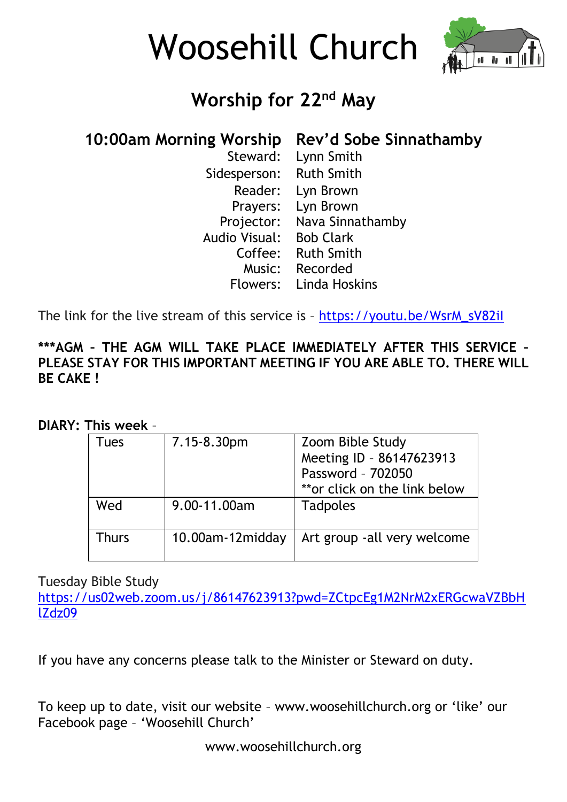



# **Worship for 22nd May**

### **10:00am Morning Worship Rev'd Sobe Sinnathamby**

| Steward:      | Lynn Smith        |
|---------------|-------------------|
| Sidesperson:  | <b>Ruth Smith</b> |
| Reader:       | Lyn Brown         |
| Prayers:      | Lyn Brown         |
| Projector:    | Nava Sinnathamby  |
| Audio Visual: | <b>Bob Clark</b>  |
| Coffee:       | <b>Ruth Smith</b> |
| Music:        | Recorded          |
| Flowers:      | Linda Hoskins     |

The link for the live stream of this service is – [https://youtu.be/WsrM\\_sV82iI](https://youtu.be/WsrM_sV82iI)

#### **\*\*\*AGM – THE AGM WILL TAKE PLACE IMMEDIATELY AFTER THIS SERVICE – PLEASE STAY FOR THIS IMPORTANT MEETING IF YOU ARE ABLE TO. THERE WILL BE CAKE !**

#### **DIARY: This week** –

| Tues  | 7.15-8.30pm      | Zoom Bible Study<br>Meeting ID - 86147623913<br>Password - 702050<br>**or click on the link below |
|-------|------------------|---------------------------------------------------------------------------------------------------|
| Wed   | 9.00-11.00am     | <b>Tadpoles</b>                                                                                   |
| Thurs | 10.00am-12midday | Art group -all very welcome                                                                       |

Tuesday Bible Study

[https://us02web.zoom.us/j/86147623913?pwd=ZCtpcEg1M2NrM2xERGcwaVZBbH](https://us02web.zoom.us/j/86147623913?pwd=ZCtpcEg1M2NrM2xERGcwaVZBbHlZdz09) [lZdz09](https://us02web.zoom.us/j/86147623913?pwd=ZCtpcEg1M2NrM2xERGcwaVZBbHlZdz09)

If you have any concerns please talk to the Minister or Steward on duty.

To keep up to date, visit our website – www.woosehillchurch.org or 'like' our Facebook page – 'Woosehill Church'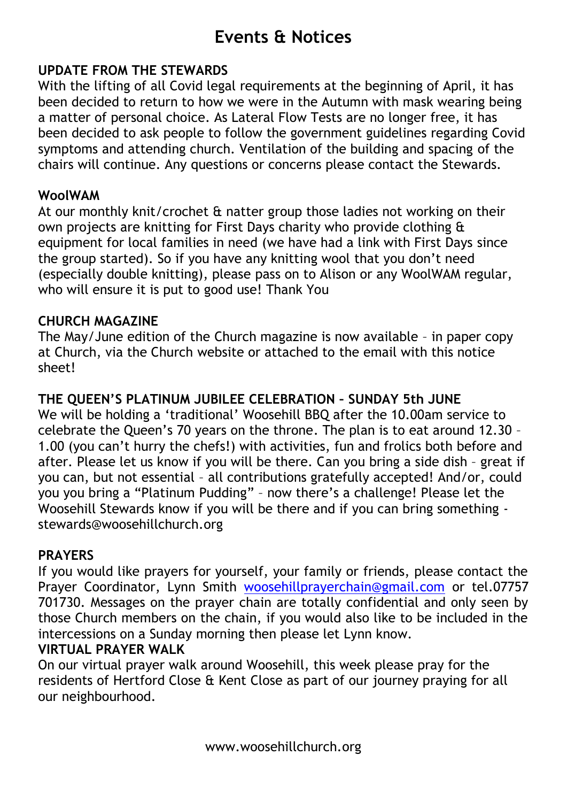## **Events & Notices**

#### **UPDATE FROM THE STEWARDS**

With the lifting of all Covid legal requirements at the beginning of April, it has been decided to return to how we were in the Autumn with mask wearing being a matter of personal choice. As Lateral Flow Tests are no longer free, it has been decided to ask people to follow the government guidelines regarding Covid symptoms and attending church. Ventilation of the building and spacing of the chairs will continue. Any questions or concerns please contact the Stewards.

#### **WoolWAM**

At our monthly knit/crochet & natter group those ladies not working on their own projects are knitting for First Days charity who provide clothing & equipment for local families in need (we have had a link with First Days since the group started). So if you have any knitting wool that you don't need (especially double knitting), please pass on to Alison or any WoolWAM regular, who will ensure it is put to good use! Thank You

#### **CHURCH MAGAZINE**

The May/June edition of the Church magazine is now available – in paper copy at Church, via the Church website or attached to the email with this notice sheet!

#### **THE QUEEN'S PLATINUM JUBILEE CELEBRATION – SUNDAY 5th JUNE**

We will be holding a 'traditional' Woosehill BBQ after the 10.00am service to celebrate the Queen's 70 years on the throne. The plan is to eat around 12.30 – 1.00 (you can't hurry the chefs!) with activities, fun and frolics both before and after. Please let us know if you will be there. Can you bring a side dish – great if you can, but not essential – all contributions gratefully accepted! And/or, could you you bring a "Platinum Pudding" – now there's a challenge! Please let the Woosehill Stewards know if you will be there and if you can bring something stewards@woosehillchurch.org

#### **PRAYERS**

If you would like prayers for yourself, your family or friends, please contact the Prayer Coordinator, Lynn Smith [woosehillprayerchain@gmail.com](mailto:woosehillprayerchain@gmail.com) or tel.07757 701730. Messages on the prayer chain are totally confidential and only seen by those Church members on the chain, if you would also like to be included in the intercessions on a Sunday morning then please let Lynn know.

#### **VIRTUAL PRAYER WALK**

On our virtual prayer walk around Woosehill, this week please pray for the residents of Hertford Close & Kent Close as part of our journey praying for all our neighbourhood.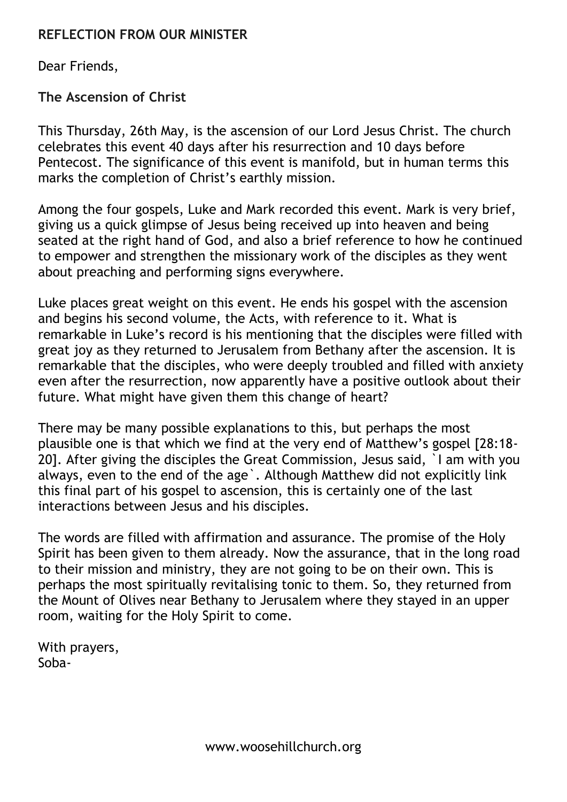#### **REFLECTION FROM OUR MINISTER**

Dear Friends,

**The Ascension of Christ**

This Thursday, 26th May, is the ascension of our Lord Jesus Christ. The church celebrates this event 40 days after his resurrection and 10 days before Pentecost. The significance of this event is manifold, but in human terms this marks the completion of Christ's earthly mission.

Among the four gospels, Luke and Mark recorded this event. Mark is very brief, giving us a quick glimpse of Jesus being received up into heaven and being seated at the right hand of God, and also a brief reference to how he continued to empower and strengthen the missionary work of the disciples as they went about preaching and performing signs everywhere.

Luke places great weight on this event. He ends his gospel with the ascension and begins his second volume, the Acts, with reference to it. What is remarkable in Luke's record is his mentioning that the disciples were filled with great joy as they returned to Jerusalem from Bethany after the ascension. It is remarkable that the disciples, who were deeply troubled and filled with anxiety even after the resurrection, now apparently have a positive outlook about their future. What might have given them this change of heart?

There may be many possible explanations to this, but perhaps the most plausible one is that which we find at the very end of Matthew's gospel [28:18- 20]. After giving the disciples the Great Commission, Jesus said, `I am with you always, even to the end of the age`. Although Matthew did not explicitly link this final part of his gospel to ascension, this is certainly one of the last interactions between Jesus and his disciples.

The words are filled with affirmation and assurance. The promise of the Holy Spirit has been given to them already. Now the assurance, that in the long road to their mission and ministry, they are not going to be on their own. This is perhaps the most spiritually revitalising tonic to them. So, they returned from the Mount of Olives near Bethany to Jerusalem where they stayed in an upper room, waiting for the Holy Spirit to come.

With prayers, Soba-